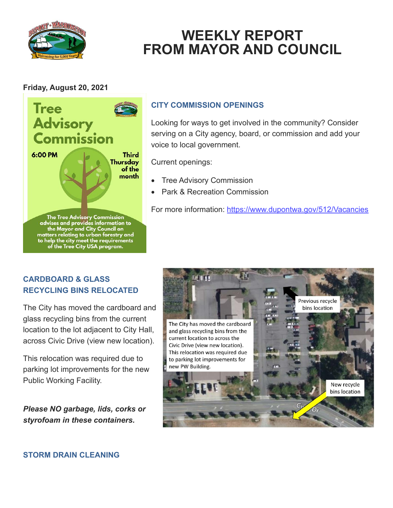

## **WEEKLY REPORT FROM MAYOR AND COUNCIL**

## **Friday, August 20, 2021**



## **CITY COMMISSION OPENINGS**

Looking for ways to get involved in the community? Consider serving on a City agency, board, or commission and add your voice to local government.

Current openings:

- **Tree Advisory Commission**
- Park & Recreation Commission

For more information:<https://www.dupontwa.gov/512/Vacancies>

## **CARDBOARD & GLASS RECYCLING BINS RELOCATED**

The City has moved the cardboard and glass recycling bins from the current location to the lot adjacent to City Hall, across Civic Drive (view new location).

This relocation was required due to parking lot improvements for the new Public Working Facility.

*Please NO garbage, lids, corks or styrofoam in these containers.* 

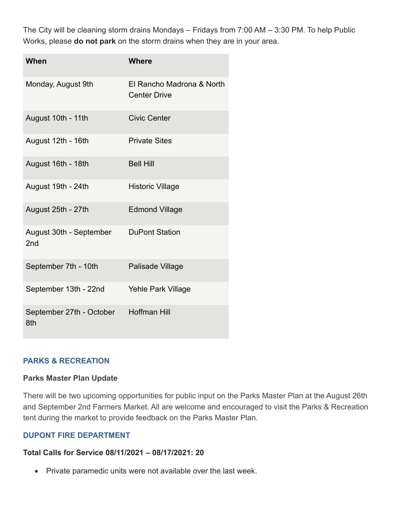The City will be cleaning storm drains Mondays – Fridays from 7:00 AM – 3:30 PM. To help Public Works, please **do not park** on the storm drains when they are in your area.

| When                                       | <b>Where</b>                                     |
|--------------------------------------------|--------------------------------------------------|
| Monday, August 9th                         | El Rancho Madrona & North<br><b>Center Drive</b> |
| August 10th - 11th                         | <b>Civic Center</b>                              |
| August 12th - 16th                         | <b>Private Sites</b>                             |
| August 16th - 18th                         | <b>Bell Hill</b>                                 |
| August 19th - 24th                         | <b>Historic Village</b>                          |
| August 25th - 27th                         | <b>Edmond Village</b>                            |
| August 30th - September<br>2 <sub>nd</sub> | <b>DuPont Station</b>                            |
| September 7th - 10th                       | Palisade Village                                 |
| September 13th - 22nd                      | <b>Yehle Park Village</b>                        |
| September 27th - October<br>8th            | <b>Hoffman Hill</b>                              |

#### **PARKS & RECREATION**

#### **Parks Master Plan Update**

There will be two upcoming opportunities for public input on the Parks Master Plan at the August 26th and September 2nd Farmers Market. All are welcome and encouraged to visit the Parks & Recreation tent during the market to provide feedback on the Parks Master Plan.

#### **DUPONT FIRE DEPARTMENT**

#### **Total Calls for Service 08/11/2021 – 08/17/2021: 20**

• Private paramedic units were not available over the last week.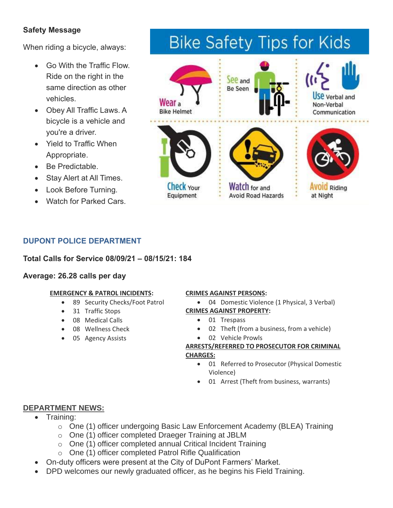## **Safety Message**

When riding a bicycle, always:

- Go With the Traffic Flow. Ride on the right in the same direction as other vehicles.
- Obey All Traffic Laws. A bicycle is a vehicle and you're a driver.
- Yield to Traffic When Appropriate.
- Be Predictable.
- Stay Alert at All Times.
- Look Before Turning.
- Watch for Parked Cars.

# **Bike Safety Tips for Kids**



## **DUPONT POLICE DEPARTMENT**

**Total Calls for Service 08/09/21 – 08/15/21: 184**

#### **Average: 26.28 calls per day**

#### **EMERGENCY & PATROL INCIDENTS:**

- 89 Security Checks/Foot Patrol
- 31 Traffic Stops
- 08 Medical Calls
- 08 Wellness Check
- 05 Agency Assists

#### **CRIMES AGAINST PERSONS:**

- 04 Domestic Violence (1 Physical, 3 Verbal) **CRIMES AGAINST PROPERTY:**
	- 01 Trespass
	- 02 Theft (from a business, from a vehicle)
	- 02 Vehicle Prowls

#### **ARRESTS/REFERRED TO PROSECUTOR FOR CRIMINAL CHARGES:**

- 01 Referred to Prosecutor (Physical Domestic Violence)
- 01 Arrest (Theft from business, warrants)

## **DEPARTMENT NEWS:**

- Training:
	- o One (1) officer undergoing Basic Law Enforcement Academy (BLEA) Training
	- o One (1) officer completed Draeger Training at JBLM
	- o One (1) officer completed annual Critical Incident Training
	- o One (1) officer completed Patrol Rifle Qualification
- On-duty officers were present at the City of DuPont Farmers' Market.
- DPD welcomes our newly graduated officer, as he begins his Field Training.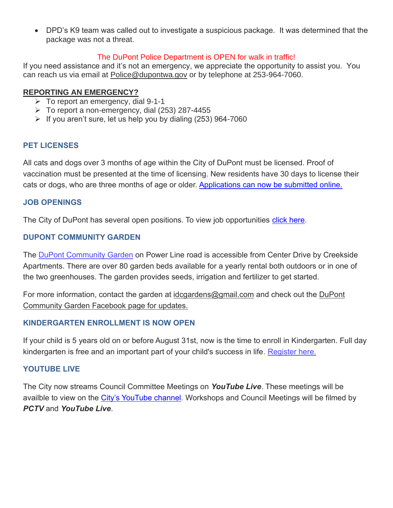• DPD's K9 team was called out to investigate a suspicious package. It was determined that the package was not a threat.

#### The DuPont Police Department is OPEN for walk in traffic!

If you need assistance and it's not an emergency, we appreciate the opportunity to assist you. You can reach us via email at [Police@dupontwa.gov](mailto:Police@dupontwa.gov) or by telephone at 253-964-7060.

#### **REPORTING AN EMERGENCY?**

- $\triangleright$  To report an emergency, dial 9-1-1
- $\triangleright$  To report a non-emergency, dial (253) 287-4455
- $\triangleright$  If you aren't sure, let us help you by dialing (253) 964-7060

#### **PET LICENSES**

All cats and dogs over 3 months of age within the City of DuPont must be licensed. Proof of vaccination must be presented at the time of licensing. New residents have 30 days to license their cats or dogs, who are three months of age or older. [Applications can now be submitted online.](https://www.dupontwa.gov/211/Animal-Control-Pet-Licensing)

#### **JOB OPENINGS**

The City of DuPont has several open positions. To view job opportunities [click here.](https://www.governmentjobs.com/careers/dupontwa?)

#### **DUPONT COMMUNITY GARDEN**

The DuPont [Community](https://www.dupontwa.gov/Facilities/Facility/Details/DuPont-Community-Garden-39) Garden on Power Line road is accessible from Center Drive by Creekside Apartments. There are over 80 garden beds available for a yearly rental both outdoors or in one of the two greenhouses. The garden provides seeds, irrigation and fertilizer to get started.

For more information, contact the garden at [idcgardens@gmail.com](mailto:idcgardens@gmail.com) and check out the DuPont Community Garden Facebook page for updates.

#### **KINDERGARTEN ENROLLMENT IS NOW OPEN**

If your child is 5 years old on or before August 31st, now is the time to enroll in Kindergarten. Full day kindergarten is free and an important part of your child's success in life. [Register here.](https://www.steilacoom.k12.wa.us/Domain/36)

#### **YOUTUBE LIVE**

The City now streams Council Committee Meetings on *YouTube Live*. These meetings will be availble to view on the [City's YouTube channel.](https://www.youtube.com/channel/UCl-nrLK1wNfpq3_CeNJw40A?view_as=subscriber) Workshops and Council Meetings will be filmed by *PCTV* and *YouTube Live*.